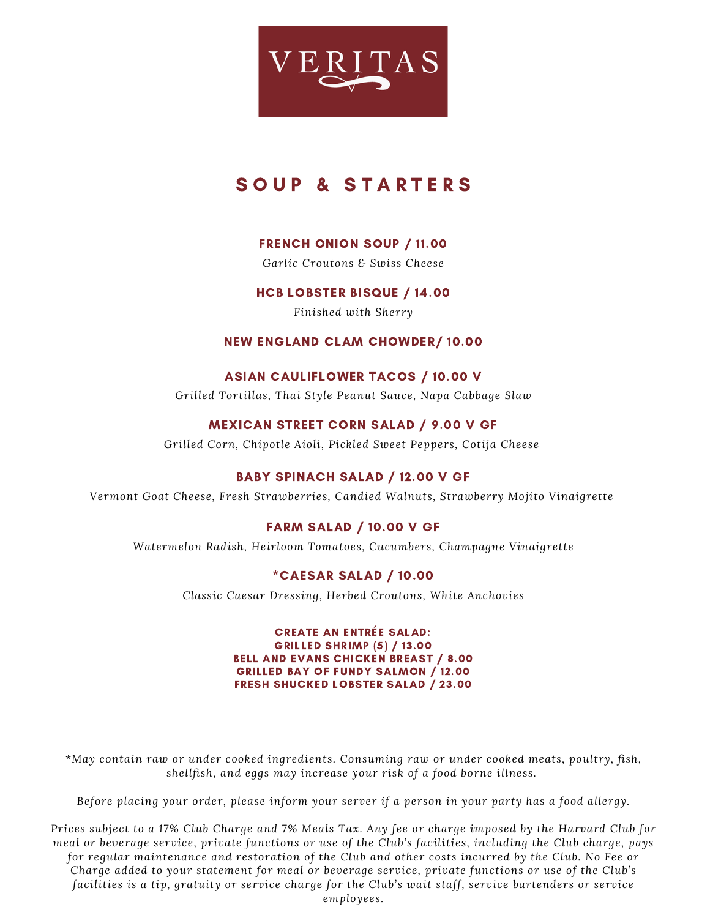

# SOUP & STARTERS

# FRENCH ONION SOUP / 11.00

*Garlic Croutons & Swiss Cheese*

# HCB LOBSTER BISQUE / 14.00

*Finished with Sherry*

### NEW ENGLAND CLAM CHOWDER/ 10.00

## ASIAN CAULIFLOWER TACOS / 10.00 V

*Grilled Tortillas, Thai Style Peanut Sauce, Napa Cabbage Slaw*

# MEXICAN STREET CORN SALAD / 9.00 V GF

*Grilled Corn, Chipotle Aioli, Pickled Sweet Peppers, Cotija Cheese*

# BABY SPINACH SALAD / 12.00 V GF

*Vermont Goat Cheese, Fresh Strawberries, Candied Walnuts, Strawberry Mojito Vinaigrette*

# FARM SALAD / 10.00 V GF

*Watermelon Radish, Heirloom Tomatoes, Cucumbers, Champagne Vinaigrette*

### \*CAESAR SALAD / 10.00

*Classic Caesar Dressing, Herbed Croutons, White Anchovies*

CREATE AN ENTRÉE SALAD: GRILLED SHRIMP (5) / 13.00 BELL AND EVANS CHICKEN BREAST / 8.00 GRILLED BAY OF FUNDY SALMON / 12.00 FRESH SHUCKED LOBSTER SALAD / 23.00

*\*May contain raw or under cooked ingredients. Consuming raw or under cooked meats, poultry, fish, shellfish, and eggs may increase your risk of a food borne illness.*

*Before placing your order, please inform your server if a person in your party has a food allergy.*

Prices subject to a 17% Club Charge and 7% Meals Tax. Any fee or charge imposed by the Harvard Club for meal or beverage service, private functions or use of the Club's facilities, including the Club charge, pays for regular maintenance and restoration of the Club and other costs incurred by the Club. No Fee or *Charge added to your statement for meal or beverage service, private functions or use of the Club's facilities is a tip, gratuity or service charge for the Club's wait staff, service bartenders or service employees.*